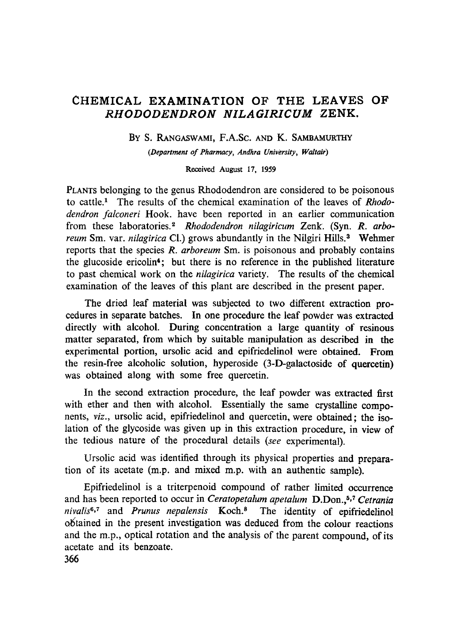# CHEMICAL EXAMINATION OF THE LEAVES OF *RHODODENDRON NILAGIRICUM* ZENK.

By S. RANGASWAMI, F.A.Sc. AND K. SAMBAMURTHY

*(Department of Pharmacy, Andhra University, Waltair)* 

Received August 17, 1959

PLANTS belonging to the genus Rhododendron are considered to be poisonous to cattle.<sup>1</sup> The results of the chemical examination of the leaves of *Rhododendron falconeri* Hook. have been reported in ah earlier communication from these laboratories." *Rhododendron nilagiricum* Zenk. (Syn. *R. arboreum* Sm. var. *nilagirica* Cl.) grows abundantly in the Nilgiri Hills.<sup>3</sup> Wehmer reports that the species *R. arboreum* Sm. is poisonous and probably contains the glucoside ericolin4; but there is no reference in the published literature to past chemical work on the *nilagirica* variety. The results of the chemical examination of the leaves of this plant are described in the present paper.

The dried leaf material was subjected to two different extraction procedures in separate batches. In one procedure the leaf powder was extracted directly with alcohol. During concentration a large quantity of resinous matter separated, from which by suitable manipulation as described in the experimental portion, ursolic acid and epifriedelinol were obtained. From the resin-free alcoholic solution, hyperoside (3-D-galactoside of quercetin) was obtained along with some free quercetin.

In the second extraction procedure, the leaf powder was extracted first with ether and then with alcohol. Essentially the same crystalline components, *viz.,* ursolic acid, epifriedelinol and quercetin, were obtained; the isolation of the glycoside was given up in this extraction procedure, in view of the tedious nature of the procedural details *(see* experimental).

Ursolic acid was identified through its physical properties and preparation of its acetate (m.p. and mixed m.p. with an authentic sample).

Epifriedelinol is a triterpenoid compound of rather limited occurrence and has been reported to occur in *Ceratopetalum apetalum* D.Don.,<sup>5,7</sup> *Cetrania* nivalis<sup>6,7</sup> and *Prunus nepalensis* Koch.<sup>8</sup> The identity of epifriedelinol obtained in the present investigation was deduced from the colour reactions and the m.p., optical rotation and the analysis of the parent compound, of its acetate and its benzoate.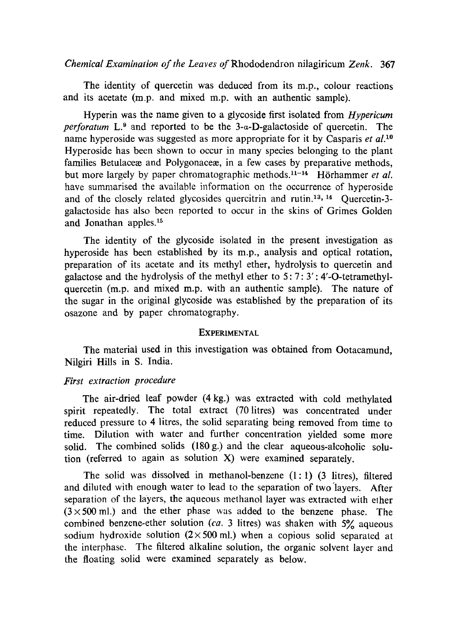*Chemical Examination of the Leaves* of Rhododendron nitagiricum *Zenk.* 367

The identity of quercetin was deduced from its m.p., colour reactions and its acetate (m.p. and mixed m.p. with an authentic sample).

Hyperin was the name given to a glycoside first isolated from *Hypericum perforatum*  $L^9$  and reported to be the 3- $\alpha$ -D-galactoside of quercetin. The name hyperoside was suggested as more appropriate for it by Casparis *et al. lo*  Hyperoside has been shown to occur in many species belonging to the plant families Betulace and Polygonace  $\ddot{x}$ , in a few cases by preparative methods, but more largely by paper chromatographic methods.<sup>11-14</sup> Hörhammer *et al.* have summarised the available information on the occurrence of hyperoside and of the closely related glycosides quercitrin and rutin.<sup>13, 14</sup> Quercetin-3galactoside has also been reported to occur in the skins of Grimes Golden and Jonathan apples.<sup>15</sup>

The identity of the glycoside isolated in the present investigation as hyperoside has been established by its m.p., analysis and optical rotation, preparation of its acetate and its methyl ether, hydrolysis to quercetin and galactose and the hydrolysis of the methyl ether to  $5: 7: 3'$ : 4'-O-tetramethylquercetin (m.p. and mixed m.p. with an authentic sample). The nature of the sugar in the original glycoside was established by the preparation of its osazone and by paper chromatography.

#### EXPERIMENTAL

The material used in this investigation was obtained from Ootacamund, Nilgiri Hills in S. India.

#### *First extraction procedure*

The air-dried leaf powder (4 kg.) was extracted with cold methylated spirit repeatedly. The total extract (70 litres) was concentrated under reduced pressure to 4 iitres, the solid separating being removed from time to time. Dilution with water and further concentration yielded some more solid. The combined solids (180 g.) and the clear aqueous-alcoholic solution (referred to again as solution X) were examined separately.

The solid was dissolved in methanol-benzene  $(1:1)$   $(3$  litres), filtered and diluted with enough water to lead to the separation of two'layers. After separation of the layers, the aqueous methanol layer was extracted with elher  $(3 \times 500 \text{ ml.})$  and the ether phase was added to the benzene phase. The combined benzene-ether solution *(ca.* 3 litres) was shaken with 5% aqueous sodium hydroxide solution  $(2 \times 500 \text{ ml.})$  when a copious solid separated at the interphase. The filtered alkaline solution, the organic solvent layer and the floating solid were examined separately as below.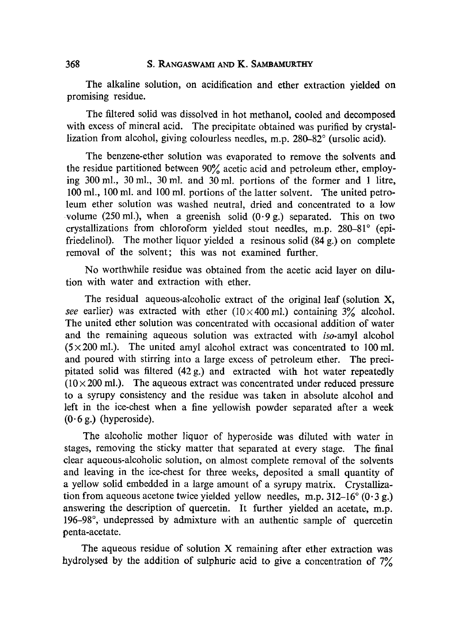The alkaline solution, on acidification and ether extraction yielded on promising residue.

The filtered solid was dissolved in hot methanol, cooled and decomposed with excess of mineral acid. The precipitate obtained was purified by crystallization from alcohol, giving colourless needles, m.p. 280-82° (ursolic acid).

The benzene-ether solution was evaporated to remove the solvents and the residue partitioned between 90% acetic acid and petroleum ether, employing 300 ml., 30 ml., 30 ml. and 30 ml. portions of the former and 1 litre, 100 mi., 100 mi. and 100 mi. portions of the latter solvent. The united perroleum ether solution was washed neutral, dried and concentrated to a low volume (250 ml.), when a greenish solid  $(0.9 g)$  separated. This on two crystallizations from chloroform yielded stout needles, m.p. 280-81° (epifriedelinol). The mother liquor yielded a resinous solid (84 g.) on complete removal of the solvent; this was not examined further.

No worthwhile residue was obtained from the acetic acid layer on dilution with water and extraction with ether.

The residual aqueous-alcoholic extract of the original leaf (solution X, *see* earlier) was extracted with ether ( $10 \times 400$  ml.) containing  $3\%$  alcohol. The united ether solution was concentrated with occasional addition of water and the remaining aqueous solution was extracted with *iso-amyl* alcohol  $(5 \times 200 \text{ ml.})$ . The united amyl alcohol extract was concentrated to 100 ml. and poured with stirring into a large excess of petroleum ether. The precipitated solid was filtered (42 g.) and extracted with hot water repeatedly  $(10 \times 200 \text{ ml})$ . The aqueous extract was concentrated under reduced pressure to a syrupy consistency and the residue was taken in absolute alcohol and left in the ice-chest when a fine yellowish powder separated after a week  $(0.6 \text{ g.})$  (hyperoside).

The alcoholic mother liquor of hyperoside was diluted with water in stages, removing the sticky matter that separated at every stage. The final clear aqueous-alcoholic solution, on almost complete removal of the solvents and leaving in the ice-chest for three weeks, deposited a small quantity of a yellow solid embedded in a large amount of a syrupy matrix. Crystallization from aqueous acetone twice yielded yellow needles, m.p.  $312-16$   $(0.3 g.)$ answering the description of quercetin. It further yielded an acetate, m.p. 196-98°, undepressed by admixture with an authentic sample of quercetin penta-acetate.

The aqueous residue of solution X remaining after ether extraction was hydrolysed by the addition of sulphuric acid to give a concentration of  $7\%$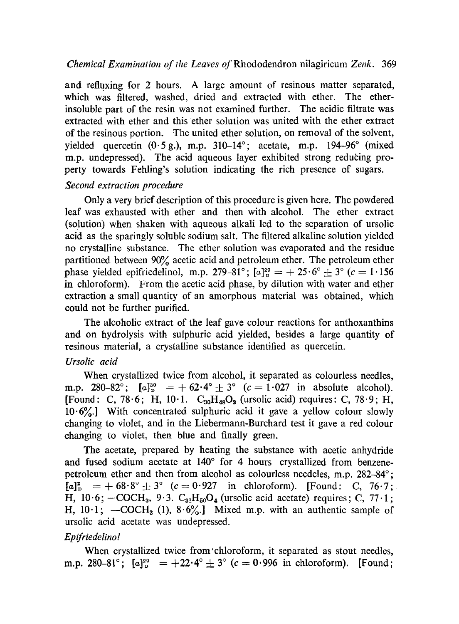### *Chemical Examination of the Leaves of* Rhododendron ni!agiricum *Zenk.* 369

and refluxing for 2 hours. A large amount of resinous matter separated, which was filtered, washed, dried and extracted with ether. The etherinsoluble part of the resin was not examined further. The acidic filtrate was extracted with ether and this ether solution was united with the ether extract of the resinous portion. The united ether solution, on removal of the solvent, yielded quercetin  $(0.5 \text{ g.})$ , m.p. 310-14°; acetate, m.p. 194-96° (mixed m.p. undepressed). The acid aqueous layer exhibited strong reducing property towards Fehling's solution indicating the rich presence of sugars.

### *Second extraction procedure*

Only a very brief description of this procedure is given here. The powdered leaf was exhausted with ether and then with alcohol. The ether extract (solution) when shaken with aqueous alkali led to the separation of ursolic acid as the sparingly soluble sodium salt. The filtered alkaline solution yielded no crystalline substance. The ether solution was evaporated and the residue partitioned between 90% acetic acid and petroleum ether. The petroleum ether phase yielded epifriedelinol, m.p. 279-81°;  $[a]_{0}^{29} = +25.6^{\circ} + 3^{\circ} (c = 1.156$ in chloroform). From the acetic acid phase, by dilution with water and ether extraction a small quantity of an amorphous material was obtained, which could not be further purified.

The alcoholic extract of the leaf gave colour reactions for anthoxanthins and on hydrolysis with sulphuric acid yielded, besides a large quantity of resinous material, a crystalline substance identified as quercetin.

## *Ursolic acid*

When crystallized twice from alcohol, it separated as colourless needles, m.p. 280-82°;  $[a]_{p}^{30} = +62.4^{\circ} \pm 3^{\circ}$  (c = 1.027 in absolute alcohol). [Found: C, 78.6; H, 10.1.  $C_{30}H_{48}O_3$  (ursolic acid) requires: C, 78.9; H,  $10.6\%$ .] With concentrated sulphuric acid it gave a yellow colour slowly changing to violet, and in the Liebermann-Burchard test it gave a red colour changing to violet, then blue and finally green.

The acetate, prepared by heating the substance with acetic anhydride and fused sodium acetate at 140° for 4 hours crystallized from benzenepetroleum ether and then from alcohol as colourless needeles, m.p. 282-84~  $[a]_{p}^{2} = +68.8^{\circ} \pm 3^{\circ}$  (c = 0.927 in chloroform). [Found: C, 76.7; H,  $10.6$ ;  $-COCH<sub>3</sub>$ ,  $9.3$ .  $C<sub>32</sub>H<sub>50</sub>O<sub>4</sub>$  (ursolic acid acetate) requires; C, 77.1; H,  $10.1$ ;  $-COCH_3$  (1),  $8.6\%$ . Mixed m.p. with an authentic sample of ursolic acid acetate was undepressed.

## *Epifriedelino!*

When crystallized twice from'chloroform, it separated as stout needles, m.p. 280-81°;  $[a]_{p}^{29} = +22.4^{\circ} \pm 3^{\circ}$  (c = 0.996 in chloroform). [Found;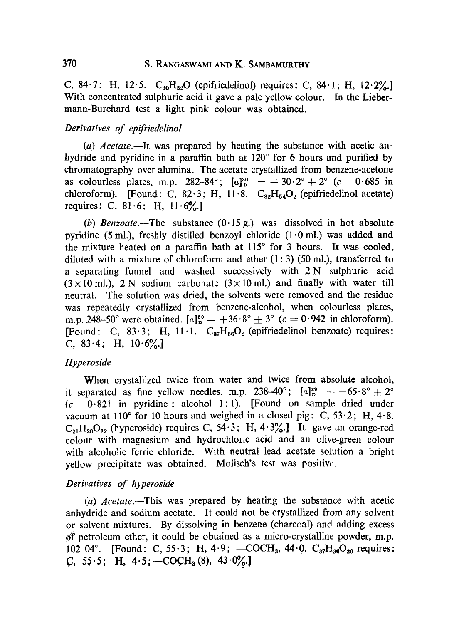C, 84.7; H, 12.5.  $C_{30}H_{52}O$  (epifriedelinol) requires: C, 84.1; H, 12.2%.] With concentrated sulphuric acid it gave a pale yellow colour. In the Liebermann-Burchard test a light pink colour was obtained.

#### *Derivatives of epifriedelinol*

*(al) Acetate.--It* was prepared by heating the substance with acetic anhydride and pyridine in a paraffin bath at  $120^{\circ}$  for 6 hours and purified by chromatography over alumina. The acetate crystallized from benzene-acetone as colourless plates, m.p. 282-84°;  $[a]_{p}^{30} = +30.2^{\circ} \pm 2^{\circ}$  ( $c = 0.685$  in chloroform). [Found: C, 82.3; H, 11.8.  $C_{32}H_{54}O_2$  (epifriedelinol acetate) requires: C,  $81.6$ ; H,  $11.6\%$ .

*(b) Benzoate.--The* substance (0.15 g.) was dissolved in hot absolute pyridine (5 ml.), freshly distilled benzoyl chloride  $(1 \cdot 0 \text{ ml})$  was added and the mixture heated on a paraffin bath at  $115^{\circ}$  for 3 hours. It was cooled, diluted with a mixture of chloroform and ether  $(1:3)$  (50 ml.), transferred to a separating funnel and washed successively with 2N sulphuric acid  $(3 \times 10 \text{ ml})$ , 2 N sodium carbonate  $(3 \times 10 \text{ ml})$  and finally with water till neutral. The solution was dried, the solvents were removed and the residue was repeatedly crystallized from benzene-alcohol, when colourless plates, m.p. 248-50° were obtained.  $[a]_{p}^{80} = +36.8^{\circ} \pm 3^{\circ}$  ( $c = 0.942$  in chloroform). [Found: C, 83.3; H, 11.1.  $C_{37}H_{56}O_2$  (epifriedelinol benzoate) requires: C,  $83.4$ ; H,  $10.6\%$ .

### *Hyperoside*

When crystallized twice from water and twice from absolute alcohol, it separated as fine yellow needles, m.p. 238-40°;  $[a]_{p}^{29} = -65.8^{\circ} + 2^{\circ}$  $(c = 0.821$  in pyridine : alcohol 1:1). [Found on sample dried under vacuum at 110 $^{\circ}$  for 10 hours and weighed in a closed pig: C, 53 $\cdot$ 2; H, 4 $\cdot$ 8.  $C_{21}H_{20}O_{12}$  (hyperoside) requires C, 54.3; H, 4.3%.] It gave an orange-red colour with magnesium and hydrochloric acid and an olive-green colour with alcoholic ferric chloride. With neutral lead acetate solution a bright yellow precipitate was obtained. Molisch's test was positive.

### *Derivatives of hyperoside*

*(a) Aeetate.--This* was prepared by heating the substance with acetic anhydride and sodium acetate. It could not be crystallized from any solvent of solvent mixtures. By dissolving in benzene (charcoal) and adding excess  $of$  petroleum ether, it could be obtained as a micro-crystalline powder, m.p. 102-04°. [Found: C, 55.3; H, 4.9; -COCH<sub>3</sub>, 44.0. C<sub>37</sub>H<sub>36</sub>O<sub>20</sub> requires;  $C, 55.5; H, 4.5; -COCH<sub>3</sub>(8), 43.0%$ .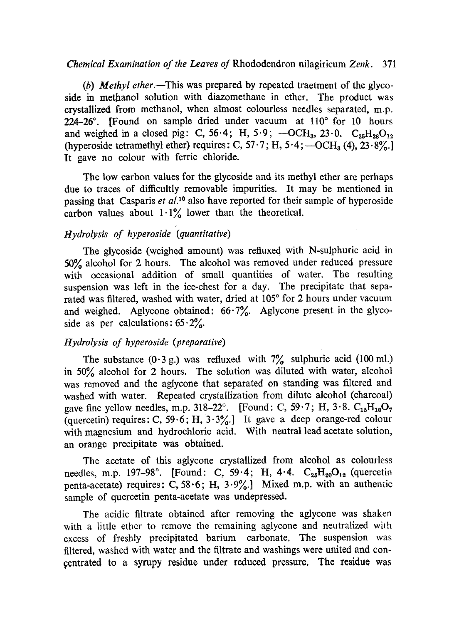### *Chemical Examination of the Leaves of* Rhododendron nilagiricum *Zenk.* 371

*(b) Methyl ether.--This* was prepared by repeated traetment of the glycoside in methanol solution with diazomethane in ether. The product was crystallized from methanol, when almost colourless needles separated, m.p.  $224-26^\circ$ . [Found on sample dried under vacuum at  $110^\circ$  for 10 hours and weighed in a closed pig: C, 56.4; H, 5.9; - OCH<sub>3</sub>, 23.0.  $C_{25}H_{28}O_{12}$ (hyperoside tetramethyl ether) requires: C,  $57.7$ ; H,  $5.4$ ;  $-OCH<sub>3</sub>(4)$ ,  $23.8\%$ . It gave no colour with ferric chloride.

The low carbon values for the glycoside and its methyl ether are perhaps due to traces of diflicultly removable impurities. It may be mentioned in passing that Casparis *et al*.<sup>10</sup> also have reported for their sample of hyperoside carbon values about  $1.1\%$  lower than the theoretical.

## *Hydrolysis of hyperoside (quantitative)*

The glycoside (weighed amount) was refluxed with N-sulphuric acid in 50Ÿ alcohol for 2 hours. The alcohol was removed under reduced pressure with occasional addition of small quantities of water. The resulting suspension was left in the ice-chest for a day. The precipitate that separated was filtered, washed with water, dried at 105° for 2 hours under vacuum and weighed. Aglycone obtained:  $66.7\%$ . Aglycone present in the glycoside as per calculations:  $65.2\%$ .

## *Hydrolysis of hyperoside (preparative)*

The substance  $(0.3 \text{ g.})$  was refluxed with  $7\%$  sulphuric acid (100 ml.) in 50% alcohol for 2 hours. The solution was diluted with water, alcohol was removed and the aglycone that separated on standing was filtered and washed with water. Repeated crystallization from dilute alcohol (charcoal) gave fine yellow needles, m.p. 318-22°. [Found: C,  $59.7$ ; H,  $3.8$ . C<sub>15</sub>H<sub>10</sub>O<sub>7</sub> (quercetin) requires: C, 59.6; H,  $3.3\%$ .] It gave a deep orange-red colour with magnesium and hydrochloric acid. With neutral lead acetate solution, ah orange precipitate was obtained.

The acetate of this aglycone crystallized from alcohol as colourless needles, m.p. 197-98°. [Found: C, 59.4; H, 4.4.  $C_{25}H_{20}O_{12}$  (quercetin penta-acetate) requires: C, 58.6; H,  $3.9\%$ . Mixed m.p. with an authentic sample of quercetin penta-acetate was undepressed.

The acidic filtrate obtained after removing the aglycone was shaken with a little ether to remove the remaining aglycone and neutralized with excess of freshly precipitated barium carbonate. The suspension was filtered, washed with water and the filtrate and washings were united and con centrated to a syrupy residue under reduced pressure. The residue was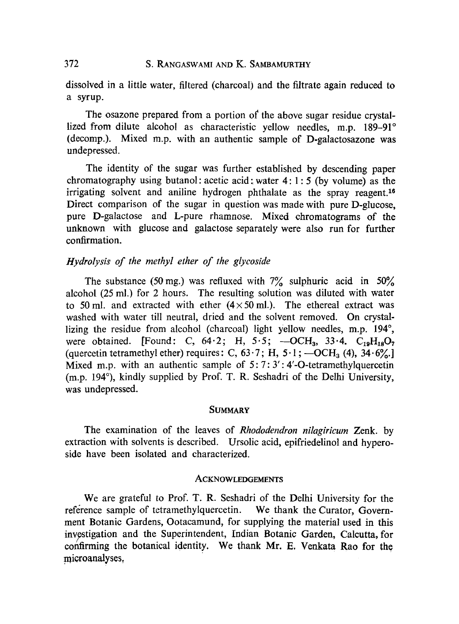### 372 S. RANGASWAMI AND K. SAMBAMURTHY

dissolved in a little water, filtered (charcoal) and the filtrate again reduced to a syrup.

The osazone prepared from a portion of' the above sugar residue crystallized from dilute alcohol as characteristic yellow needles, m.p.  $189-91°$ (decomp.). Mixed m.p. with an authentic sample of D-galactosazone was undepressed.

The identity of the sugar was further established by descending paper chromatography using butanol: acetic acid; water  $4:1:5$  (by volume) as the irrigating solvent and aniline hydrogen phthalate as the spray reagent.<sup>16</sup> Direct comparison of the sugar in question was made with pure D-glucose, pure D-galactose and L-pure rhamnose. Mixed chromatograms of the unknown with glucose and galactose separately were also run for further confirmation.

### *Hydrolysis of the methyl ether of the glycoside*

The substance (50 mg.) was refluxed with  $7\%$  sulphuric acid in 50% alcohol (25 ml.) for 2 hours. The resulting solution was diluted with water to 50 ml. and extracted with ether  $(4 \times 50 \text{ ml})$ . The ethereal extract was washed with water till neutral, dried and the solvent removed. On crystallizing the residue from alcohol (charcoal) light yellow needles, m.p.  $194^\circ$ , were obtained. [Found: C,  $64.2$ ; H,  $5.5$ ;  $-OCH<sub>3</sub>$ ,  $33.4$ . C<sub>19</sub>H<sub>18</sub>O<sub>7</sub> (quercetin tetramethyl ether) requires: C,  $63.7$ ; H,  $5.1$ ;  $-OCH<sub>3</sub> (4)$ ,  $34.6\%$ .] Mixed m.p. with an authentic sample of  $5:7:3':4'-O$ -tetramethylquercetin (m.p. 194 $^{\circ}$ ), kindly supplied by Prof. T. R. Seshadri of the Delhi University, was undepressed.

### **SUMMARY**

The examination of the leaves of *Rhododendron nilagiricum* Zenk. by extraction with solvents is described. Ursolic acid, epifriedelinol and hyperoside have been isolated and characterized.

#### **ACKNOWLEDGEMENTS**

We are grateful to Prof. T. R. Seshadri of the Delhi University for the reference sample of tetramethylquercetin. We thank the Curator, Government Botanic Gardens, Ootacamund, for supplying the material used in this investigation and the Superintendent, Indian Botanic Garden, Calcutta, for confirming the botanical identity. We thank Mr. E. Venkata Rao for the microanalyses.